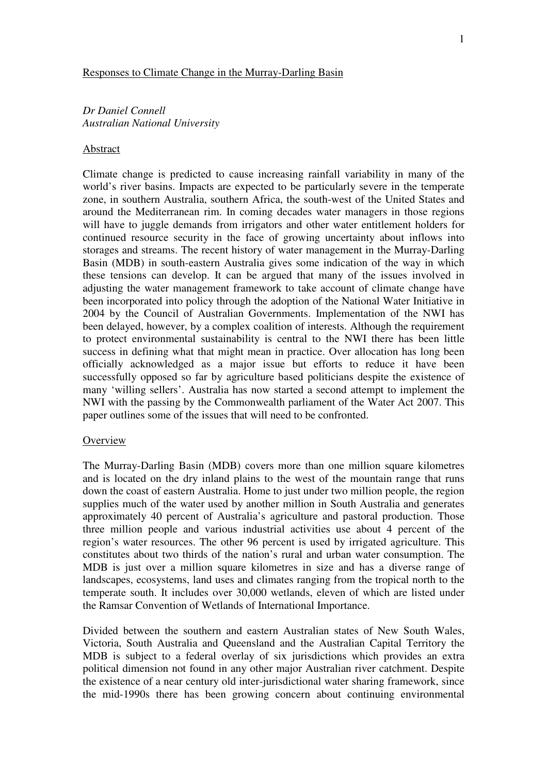#### Responses to Climate Change in the Murray-Darling Basin

*Dr Daniel Connell Australian National University* 

#### Abstract

Climate change is predicted to cause increasing rainfall variability in many of the world's river basins. Impacts are expected to be particularly severe in the temperate zone, in southern Australia, southern Africa, the south-west of the United States and around the Mediterranean rim. In coming decades water managers in those regions will have to juggle demands from irrigators and other water entitlement holders for continued resource security in the face of growing uncertainty about inflows into storages and streams. The recent history of water management in the Murray-Darling Basin (MDB) in south-eastern Australia gives some indication of the way in which these tensions can develop. It can be argued that many of the issues involved in adjusting the water management framework to take account of climate change have been incorporated into policy through the adoption of the National Water Initiative in 2004 by the Council of Australian Governments. Implementation of the NWI has been delayed, however, by a complex coalition of interests. Although the requirement to protect environmental sustainability is central to the NWI there has been little success in defining what that might mean in practice. Over allocation has long been officially acknowledged as a major issue but efforts to reduce it have been successfully opposed so far by agriculture based politicians despite the existence of many 'willing sellers'. Australia has now started a second attempt to implement the NWI with the passing by the Commonwealth parliament of the Water Act 2007. This paper outlines some of the issues that will need to be confronted.

## **Overview**

The Murray-Darling Basin (MDB) covers more than one million square kilometres and is located on the dry inland plains to the west of the mountain range that runs down the coast of eastern Australia. Home to just under two million people, the region supplies much of the water used by another million in South Australia and generates approximately 40 percent of Australia's agriculture and pastoral production. Those three million people and various industrial activities use about 4 percent of the region's water resources. The other 96 percent is used by irrigated agriculture. This constitutes about two thirds of the nation's rural and urban water consumption. The MDB is just over a million square kilometres in size and has a diverse range of landscapes, ecosystems, land uses and climates ranging from the tropical north to the temperate south. It includes over 30,000 wetlands, eleven of which are listed under the Ramsar Convention of Wetlands of International Importance.

Divided between the southern and eastern Australian states of New South Wales, Victoria, South Australia and Queensland and the Australian Capital Territory the MDB is subject to a federal overlay of six jurisdictions which provides an extra political dimension not found in any other major Australian river catchment. Despite the existence of a near century old inter-jurisdictional water sharing framework, since the mid-1990s there has been growing concern about continuing environmental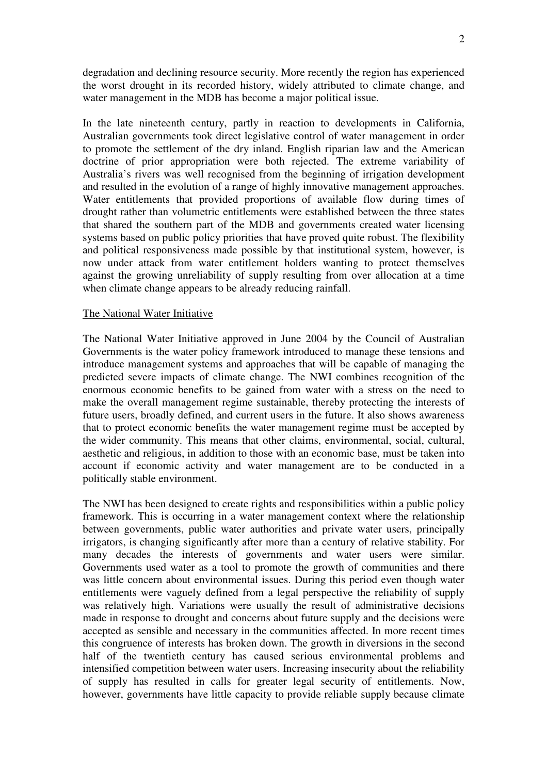degradation and declining resource security. More recently the region has experienced the worst drought in its recorded history, widely attributed to climate change, and water management in the MDB has become a major political issue.

In the late nineteenth century, partly in reaction to developments in California, Australian governments took direct legislative control of water management in order to promote the settlement of the dry inland. English riparian law and the American doctrine of prior appropriation were both rejected. The extreme variability of Australia's rivers was well recognised from the beginning of irrigation development and resulted in the evolution of a range of highly innovative management approaches. Water entitlements that provided proportions of available flow during times of drought rather than volumetric entitlements were established between the three states that shared the southern part of the MDB and governments created water licensing systems based on public policy priorities that have proved quite robust. The flexibility and political responsiveness made possible by that institutional system, however, is now under attack from water entitlement holders wanting to protect themselves against the growing unreliability of supply resulting from over allocation at a time when climate change appears to be already reducing rainfall.

## The National Water Initiative

The National Water Initiative approved in June 2004 by the Council of Australian Governments is the water policy framework introduced to manage these tensions and introduce management systems and approaches that will be capable of managing the predicted severe impacts of climate change. The NWI combines recognition of the enormous economic benefits to be gained from water with a stress on the need to make the overall management regime sustainable, thereby protecting the interests of future users, broadly defined, and current users in the future. It also shows awareness that to protect economic benefits the water management regime must be accepted by the wider community. This means that other claims, environmental, social, cultural, aesthetic and religious, in addition to those with an economic base, must be taken into account if economic activity and water management are to be conducted in a politically stable environment.

The NWI has been designed to create rights and responsibilities within a public policy framework. This is occurring in a water management context where the relationship between governments, public water authorities and private water users, principally irrigators, is changing significantly after more than a century of relative stability. For many decades the interests of governments and water users were similar. Governments used water as a tool to promote the growth of communities and there was little concern about environmental issues. During this period even though water entitlements were vaguely defined from a legal perspective the reliability of supply was relatively high. Variations were usually the result of administrative decisions made in response to drought and concerns about future supply and the decisions were accepted as sensible and necessary in the communities affected. In more recent times this congruence of interests has broken down. The growth in diversions in the second half of the twentieth century has caused serious environmental problems and intensified competition between water users. Increasing insecurity about the reliability of supply has resulted in calls for greater legal security of entitlements. Now, however, governments have little capacity to provide reliable supply because climate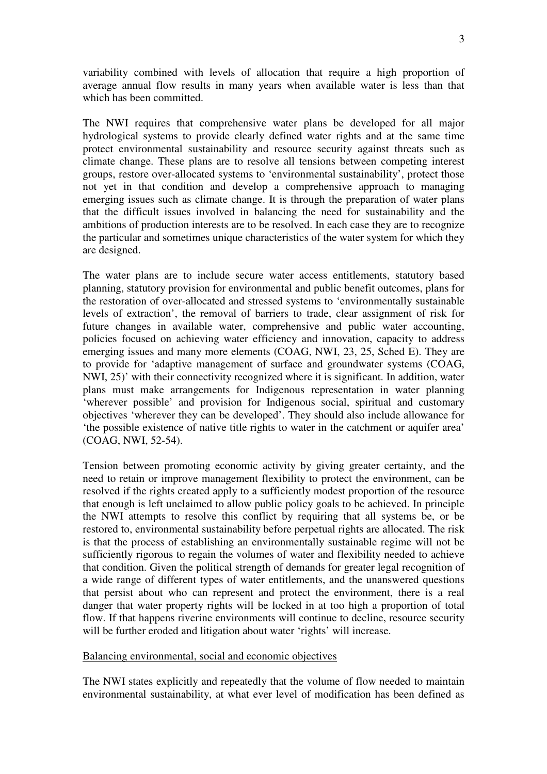variability combined with levels of allocation that require a high proportion of average annual flow results in many years when available water is less than that which has been committed.

The NWI requires that comprehensive water plans be developed for all major hydrological systems to provide clearly defined water rights and at the same time protect environmental sustainability and resource security against threats such as climate change. These plans are to resolve all tensions between competing interest groups, restore over-allocated systems to 'environmental sustainability', protect those not yet in that condition and develop a comprehensive approach to managing emerging issues such as climate change. It is through the preparation of water plans that the difficult issues involved in balancing the need for sustainability and the ambitions of production interests are to be resolved. In each case they are to recognize the particular and sometimes unique characteristics of the water system for which they are designed.

The water plans are to include secure water access entitlements, statutory based planning, statutory provision for environmental and public benefit outcomes, plans for the restoration of over-allocated and stressed systems to 'environmentally sustainable levels of extraction', the removal of barriers to trade, clear assignment of risk for future changes in available water, comprehensive and public water accounting, policies focused on achieving water efficiency and innovation, capacity to address emerging issues and many more elements (COAG, NWI, 23, 25, Sched E). They are to provide for 'adaptive management of surface and groundwater systems (COAG, NWI, 25)' with their connectivity recognized where it is significant. In addition, water plans must make arrangements for Indigenous representation in water planning 'wherever possible' and provision for Indigenous social, spiritual and customary objectives 'wherever they can be developed'. They should also include allowance for 'the possible existence of native title rights to water in the catchment or aquifer area' (COAG, NWI, 52-54).

Tension between promoting economic activity by giving greater certainty, and the need to retain or improve management flexibility to protect the environment, can be resolved if the rights created apply to a sufficiently modest proportion of the resource that enough is left unclaimed to allow public policy goals to be achieved. In principle the NWI attempts to resolve this conflict by requiring that all systems be, or be restored to, environmental sustainability before perpetual rights are allocated. The risk is that the process of establishing an environmentally sustainable regime will not be sufficiently rigorous to regain the volumes of water and flexibility needed to achieve that condition. Given the political strength of demands for greater legal recognition of a wide range of different types of water entitlements, and the unanswered questions that persist about who can represent and protect the environment, there is a real danger that water property rights will be locked in at too high a proportion of total flow. If that happens riverine environments will continue to decline, resource security will be further eroded and litigation about water 'rights' will increase.

## Balancing environmental, social and economic objectives

The NWI states explicitly and repeatedly that the volume of flow needed to maintain environmental sustainability, at what ever level of modification has been defined as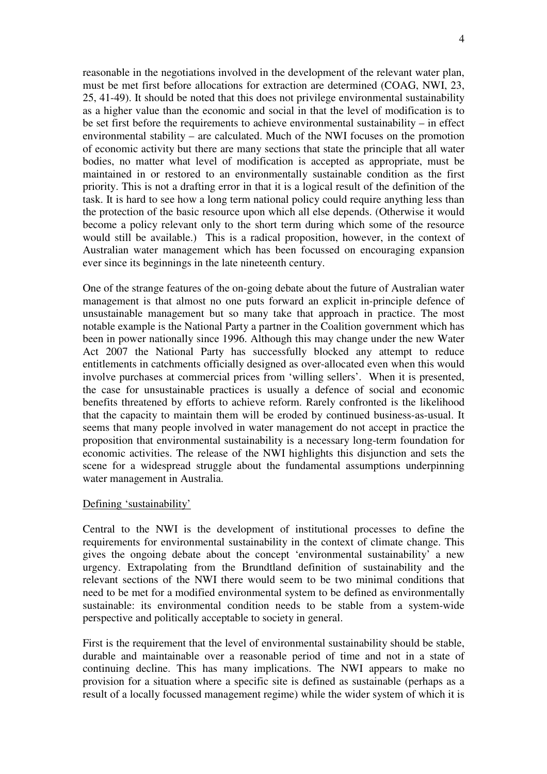reasonable in the negotiations involved in the development of the relevant water plan, must be met first before allocations for extraction are determined (COAG, NWI, 23, 25, 41-49). It should be noted that this does not privilege environmental sustainability as a higher value than the economic and social in that the level of modification is to be set first before the requirements to achieve environmental sustainability – in effect environmental stability – are calculated. Much of the NWI focuses on the promotion of economic activity but there are many sections that state the principle that all water bodies, no matter what level of modification is accepted as appropriate, must be maintained in or restored to an environmentally sustainable condition as the first priority. This is not a drafting error in that it is a logical result of the definition of the task. It is hard to see how a long term national policy could require anything less than the protection of the basic resource upon which all else depends. (Otherwise it would become a policy relevant only to the short term during which some of the resource would still be available.) This is a radical proposition, however, in the context of Australian water management which has been focussed on encouraging expansion ever since its beginnings in the late nineteenth century.

One of the strange features of the on-going debate about the future of Australian water management is that almost no one puts forward an explicit in-principle defence of unsustainable management but so many take that approach in practice. The most notable example is the National Party a partner in the Coalition government which has been in power nationally since 1996. Although this may change under the new Water Act 2007 the National Party has successfully blocked any attempt to reduce entitlements in catchments officially designed as over-allocated even when this would involve purchases at commercial prices from 'willing sellers'. When it is presented, the case for unsustainable practices is usually a defence of social and economic benefits threatened by efforts to achieve reform. Rarely confronted is the likelihood that the capacity to maintain them will be eroded by continued business-as-usual. It seems that many people involved in water management do not accept in practice the proposition that environmental sustainability is a necessary long-term foundation for economic activities. The release of the NWI highlights this disjunction and sets the scene for a widespread struggle about the fundamental assumptions underpinning water management in Australia.

## Defining 'sustainability'

Central to the NWI is the development of institutional processes to define the requirements for environmental sustainability in the context of climate change. This gives the ongoing debate about the concept 'environmental sustainability' a new urgency. Extrapolating from the Brundtland definition of sustainability and the relevant sections of the NWI there would seem to be two minimal conditions that need to be met for a modified environmental system to be defined as environmentally sustainable: its environmental condition needs to be stable from a system-wide perspective and politically acceptable to society in general.

First is the requirement that the level of environmental sustainability should be stable, durable and maintainable over a reasonable period of time and not in a state of continuing decline. This has many implications. The NWI appears to make no provision for a situation where a specific site is defined as sustainable (perhaps as a result of a locally focussed management regime) while the wider system of which it is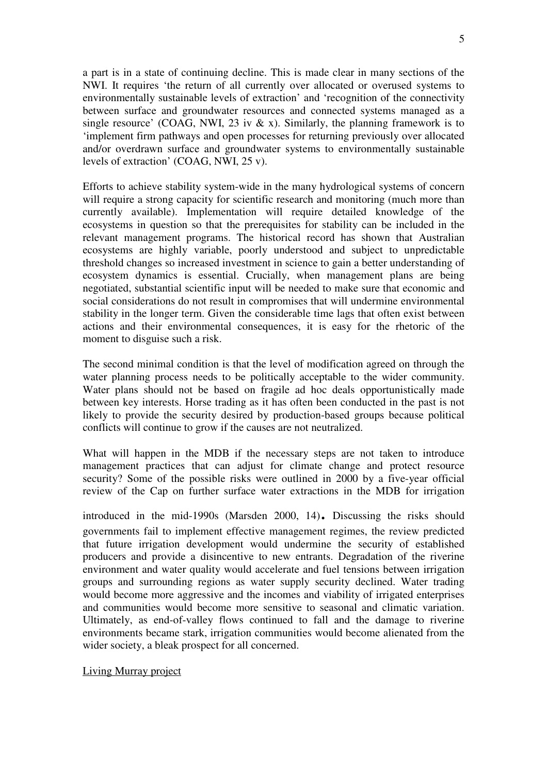a part is in a state of continuing decline. This is made clear in many sections of the NWI. It requires 'the return of all currently over allocated or overused systems to environmentally sustainable levels of extraction' and 'recognition of the connectivity between surface and groundwater resources and connected systems managed as a single resource' (COAG, NWI, 23 iv  $\&$  x). Similarly, the planning framework is to 'implement firm pathways and open processes for returning previously over allocated and/or overdrawn surface and groundwater systems to environmentally sustainable levels of extraction' (COAG, NWI, 25 v).

Efforts to achieve stability system-wide in the many hydrological systems of concern will require a strong capacity for scientific research and monitoring (much more than currently available). Implementation will require detailed knowledge of the ecosystems in question so that the prerequisites for stability can be included in the relevant management programs. The historical record has shown that Australian ecosystems are highly variable, poorly understood and subject to unpredictable threshold changes so increased investment in science to gain a better understanding of ecosystem dynamics is essential. Crucially, when management plans are being negotiated, substantial scientific input will be needed to make sure that economic and social considerations do not result in compromises that will undermine environmental stability in the longer term. Given the considerable time lags that often exist between actions and their environmental consequences, it is easy for the rhetoric of the moment to disguise such a risk.

The second minimal condition is that the level of modification agreed on through the water planning process needs to be politically acceptable to the wider community. Water plans should not be based on fragile ad hoc deals opportunistically made between key interests. Horse trading as it has often been conducted in the past is not likely to provide the security desired by production-based groups because political conflicts will continue to grow if the causes are not neutralized.

What will happen in the MDB if the necessary steps are not taken to introduce management practices that can adjust for climate change and protect resource security? Some of the possible risks were outlined in 2000 by a five-year official review of the Cap on further surface water extractions in the MDB for irrigation

introduced in the mid-1990s (Marsden 2000, 14). Discussing the risks should governments fail to implement effective management regimes, the review predicted that future irrigation development would undermine the security of established producers and provide a disincentive to new entrants. Degradation of the riverine environment and water quality would accelerate and fuel tensions between irrigation groups and surrounding regions as water supply security declined. Water trading would become more aggressive and the incomes and viability of irrigated enterprises and communities would become more sensitive to seasonal and climatic variation. Ultimately, as end-of-valley flows continued to fall and the damage to riverine environments became stark, irrigation communities would become alienated from the wider society, a bleak prospect for all concerned.

Living Murray project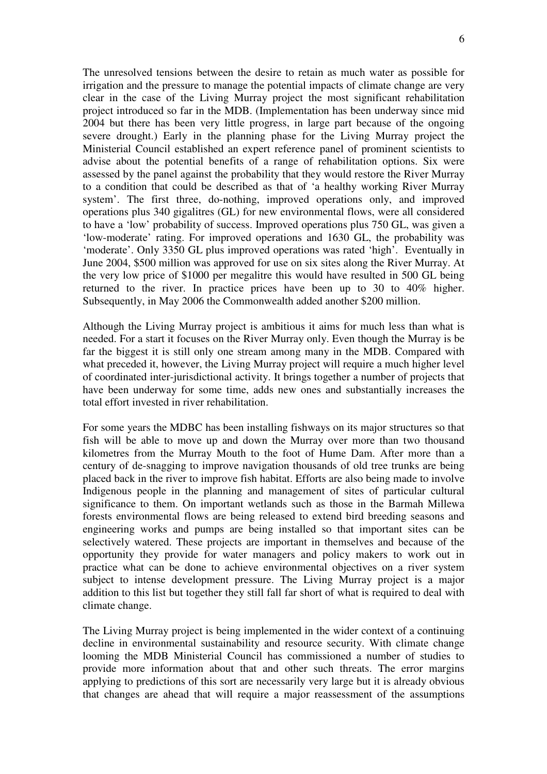The unresolved tensions between the desire to retain as much water as possible for irrigation and the pressure to manage the potential impacts of climate change are very clear in the case of the Living Murray project the most significant rehabilitation project introduced so far in the MDB. (Implementation has been underway since mid 2004 but there has been very little progress, in large part because of the ongoing severe drought.) Early in the planning phase for the Living Murray project the Ministerial Council established an expert reference panel of prominent scientists to advise about the potential benefits of a range of rehabilitation options. Six were assessed by the panel against the probability that they would restore the River Murray to a condition that could be described as that of 'a healthy working River Murray system'. The first three, do-nothing, improved operations only, and improved operations plus 340 gigalitres (GL) for new environmental flows, were all considered to have a 'low' probability of success. Improved operations plus 750 GL, was given a 'low-moderate' rating. For improved operations and 1630 GL, the probability was 'moderate'. Only 3350 GL plus improved operations was rated 'high'. Eventually in June 2004, \$500 million was approved for use on six sites along the River Murray. At the very low price of \$1000 per megalitre this would have resulted in 500 GL being returned to the river. In practice prices have been up to 30 to 40% higher. Subsequently, in May 2006 the Commonwealth added another \$200 million.

Although the Living Murray project is ambitious it aims for much less than what is needed. For a start it focuses on the River Murray only. Even though the Murray is be far the biggest it is still only one stream among many in the MDB. Compared with what preceded it, however, the Living Murray project will require a much higher level of coordinated inter-jurisdictional activity. It brings together a number of projects that have been underway for some time, adds new ones and substantially increases the total effort invested in river rehabilitation.

For some years the MDBC has been installing fishways on its major structures so that fish will be able to move up and down the Murray over more than two thousand kilometres from the Murray Mouth to the foot of Hume Dam. After more than a century of de-snagging to improve navigation thousands of old tree trunks are being placed back in the river to improve fish habitat. Efforts are also being made to involve Indigenous people in the planning and management of sites of particular cultural significance to them. On important wetlands such as those in the Barmah Millewa forests environmental flows are being released to extend bird breeding seasons and engineering works and pumps are being installed so that important sites can be selectively watered. These projects are important in themselves and because of the opportunity they provide for water managers and policy makers to work out in practice what can be done to achieve environmental objectives on a river system subject to intense development pressure. The Living Murray project is a major addition to this list but together they still fall far short of what is required to deal with climate change.

The Living Murray project is being implemented in the wider context of a continuing decline in environmental sustainability and resource security. With climate change looming the MDB Ministerial Council has commissioned a number of studies to provide more information about that and other such threats. The error margins applying to predictions of this sort are necessarily very large but it is already obvious that changes are ahead that will require a major reassessment of the assumptions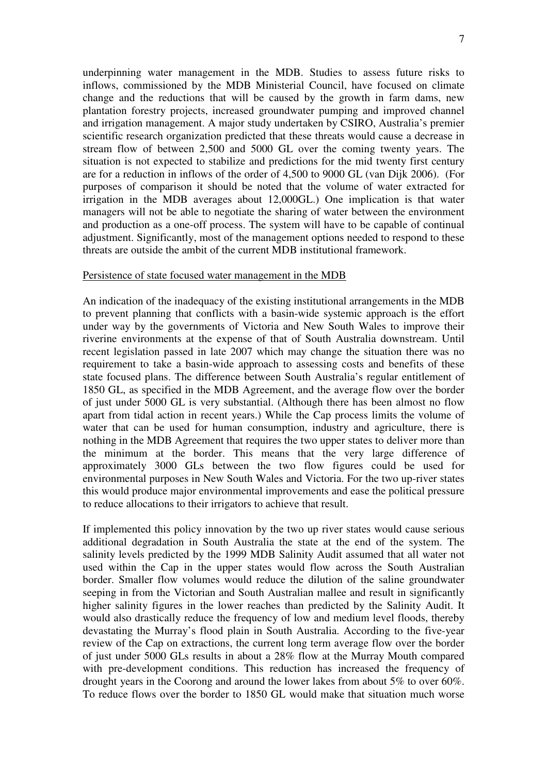underpinning water management in the MDB. Studies to assess future risks to inflows, commissioned by the MDB Ministerial Council, have focused on climate change and the reductions that will be caused by the growth in farm dams, new plantation forestry projects, increased groundwater pumping and improved channel and irrigation management. A major study undertaken by CSIRO, Australia's premier scientific research organization predicted that these threats would cause a decrease in stream flow of between 2,500 and 5000 GL over the coming twenty years. The situation is not expected to stabilize and predictions for the mid twenty first century are for a reduction in inflows of the order of 4,500 to 9000 GL (van Dijk 2006). (For purposes of comparison it should be noted that the volume of water extracted for irrigation in the MDB averages about 12,000GL.) One implication is that water managers will not be able to negotiate the sharing of water between the environment and production as a one-off process. The system will have to be capable of continual adjustment. Significantly, most of the management options needed to respond to these threats are outside the ambit of the current MDB institutional framework.

#### Persistence of state focused water management in the MDB

An indication of the inadequacy of the existing institutional arrangements in the MDB to prevent planning that conflicts with a basin-wide systemic approach is the effort under way by the governments of Victoria and New South Wales to improve their riverine environments at the expense of that of South Australia downstream. Until recent legislation passed in late 2007 which may change the situation there was no requirement to take a basin-wide approach to assessing costs and benefits of these state focused plans. The difference between South Australia's regular entitlement of 1850 GL, as specified in the MDB Agreement, and the average flow over the border of just under 5000 GL is very substantial. (Although there has been almost no flow apart from tidal action in recent years.) While the Cap process limits the volume of water that can be used for human consumption, industry and agriculture, there is nothing in the MDB Agreement that requires the two upper states to deliver more than the minimum at the border. This means that the very large difference of approximately 3000 GLs between the two flow figures could be used for environmental purposes in New South Wales and Victoria. For the two up-river states this would produce major environmental improvements and ease the political pressure to reduce allocations to their irrigators to achieve that result.

If implemented this policy innovation by the two up river states would cause serious additional degradation in South Australia the state at the end of the system. The salinity levels predicted by the 1999 MDB Salinity Audit assumed that all water not used within the Cap in the upper states would flow across the South Australian border. Smaller flow volumes would reduce the dilution of the saline groundwater seeping in from the Victorian and South Australian mallee and result in significantly higher salinity figures in the lower reaches than predicted by the Salinity Audit. It would also drastically reduce the frequency of low and medium level floods, thereby devastating the Murray's flood plain in South Australia. According to the five-year review of the Cap on extractions, the current long term average flow over the border of just under 5000 GLs results in about a 28% flow at the Murray Mouth compared with pre-development conditions. This reduction has increased the frequency of drought years in the Coorong and around the lower lakes from about 5% to over 60%. To reduce flows over the border to 1850 GL would make that situation much worse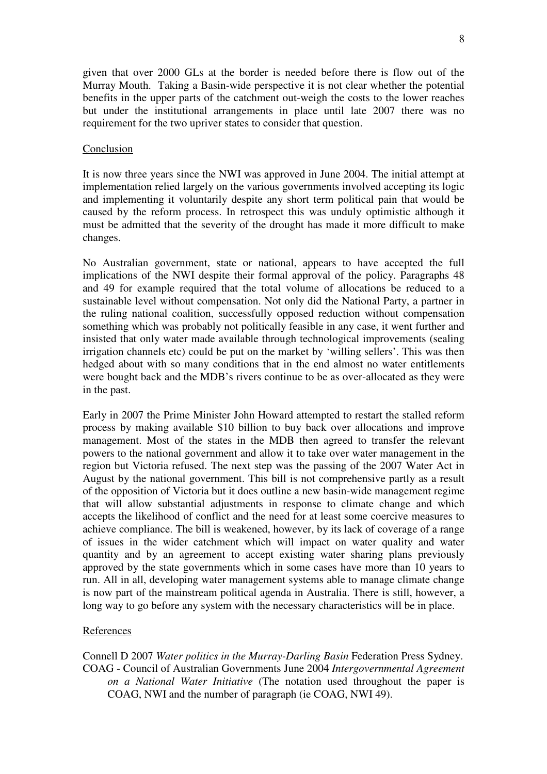given that over 2000 GLs at the border is needed before there is flow out of the Murray Mouth. Taking a Basin-wide perspective it is not clear whether the potential benefits in the upper parts of the catchment out-weigh the costs to the lower reaches but under the institutional arrangements in place until late 2007 there was no requirement for the two upriver states to consider that question.

## Conclusion

It is now three years since the NWI was approved in June 2004. The initial attempt at implementation relied largely on the various governments involved accepting its logic and implementing it voluntarily despite any short term political pain that would be caused by the reform process. In retrospect this was unduly optimistic although it must be admitted that the severity of the drought has made it more difficult to make changes.

No Australian government, state or national, appears to have accepted the full implications of the NWI despite their formal approval of the policy. Paragraphs 48 and 49 for example required that the total volume of allocations be reduced to a sustainable level without compensation. Not only did the National Party, a partner in the ruling national coalition, successfully opposed reduction without compensation something which was probably not politically feasible in any case, it went further and insisted that only water made available through technological improvements (sealing irrigation channels etc) could be put on the market by 'willing sellers'. This was then hedged about with so many conditions that in the end almost no water entitlements were bought back and the MDB's rivers continue to be as over-allocated as they were in the past.

Early in 2007 the Prime Minister John Howard attempted to restart the stalled reform process by making available \$10 billion to buy back over allocations and improve management. Most of the states in the MDB then agreed to transfer the relevant powers to the national government and allow it to take over water management in the region but Victoria refused. The next step was the passing of the 2007 Water Act in August by the national government. This bill is not comprehensive partly as a result of the opposition of Victoria but it does outline a new basin-wide management regime that will allow substantial adjustments in response to climate change and which accepts the likelihood of conflict and the need for at least some coercive measures to achieve compliance. The bill is weakened, however, by its lack of coverage of a range of issues in the wider catchment which will impact on water quality and water quantity and by an agreement to accept existing water sharing plans previously approved by the state governments which in some cases have more than 10 years to run. All in all, developing water management systems able to manage climate change is now part of the mainstream political agenda in Australia. There is still, however, a long way to go before any system with the necessary characteristics will be in place.

# References

Connell D 2007 *Water politics in the Murray-Darling Basin* Federation Press Sydney. COAG - Council of Australian Governments June 2004 *Intergovernmental Agreement on a National Water Initiative* (The notation used throughout the paper is COAG, NWI and the number of paragraph (ie COAG, NWI 49).